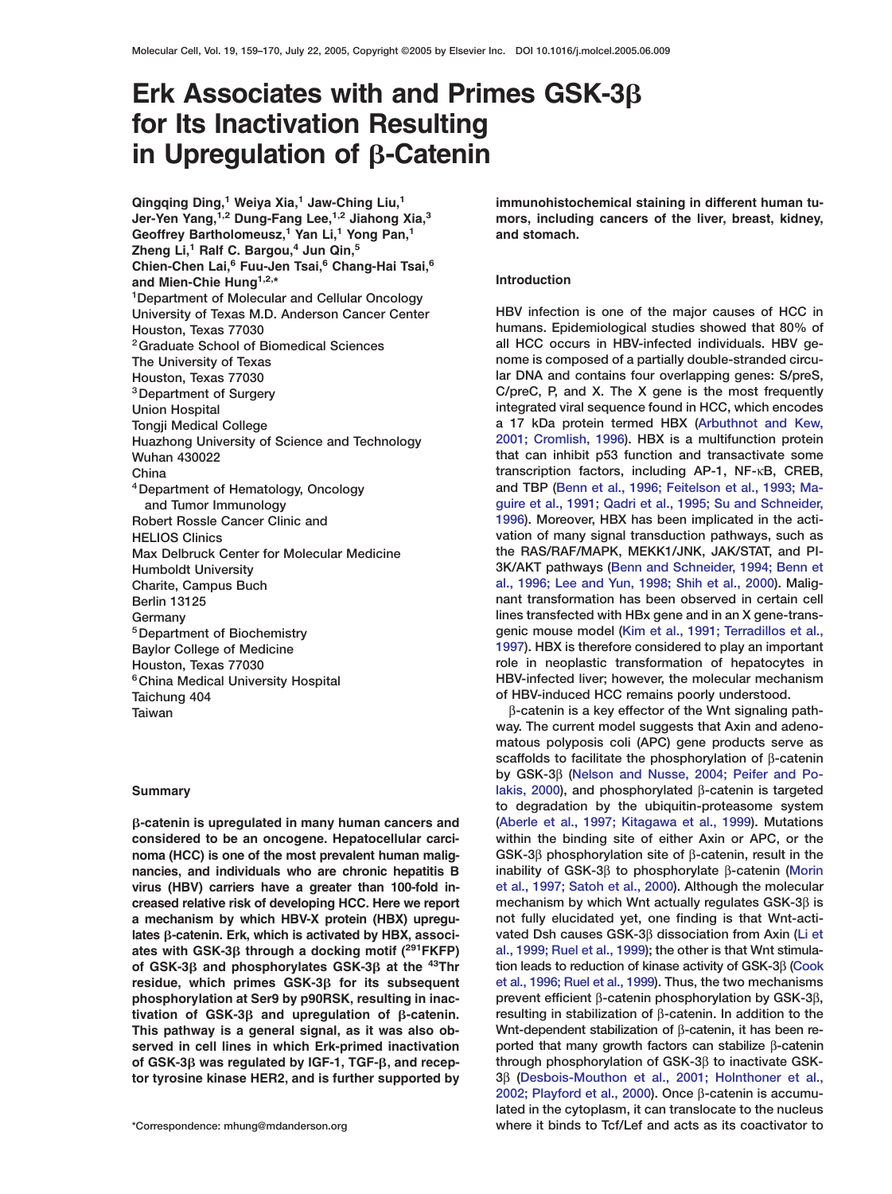# **Erk Associates with and Primes GSK-3 for Its Inactivation Resulting in Upregulation of β-Catenin**

**Qingqing Ding,<sup>1</sup> Weiya Xia,<sup>1</sup> Jaw-Ching Liu,<sup>1</sup> immunohistochemical staining in different human tu-Geoffrey Bartholomeusz,<sup>1</sup> Yan Li,<sup>1</sup> Yong Pan,<sup>1</sup> and stomach. Zheng Li,<sup>1</sup> Ralf C. Bargou,<sup>4</sup> Jun Qin,<sup>5</sup> Chien-Chen Lai,<sup>6</sup> Fuu-Jen Tsai,<sup>6</sup> Chang-Hai Tsai,<sup>6</sup> and Mien-Chie Hung1,2,\* Introduction 1Department of Molecular and Cellular Oncology University of Texas M.D. Anderson Cancer Center HBV infection is one of the major causes of HCC in Taichung 404 of HBV-induced HCC remains poorly understood.**

**considered to be an oncogene. Hepatocellular carci- within the binding site of either Axin or APC, or the noma (HCC) is one of the most prevalent human malig- GSK-3**β **phosphorylation site of** β**-catenin, result in the nancies, and individuals who are chronic hepatitis B inability of GSK-3**β **to phosphorylate** β**-catenin [\(Morin](#page-10-0) virus (HBV) carriers have a greater than 100-fold in- [et al., 1997; Satoh et al., 2000\)](#page-10-0). Although the molecular creased relative risk of developing HCC. Here we report mechanism by which Wnt actually regulates GSK-3**β **is a mechanism by which HBV-X protein (HBX) upregu- not fully elucidated yet, one finding is that Wnt-actilates -catenin. Erk, which is activated by HBX, associ- vated Dsh causes GSK-3**β **dissociation from Axin [\(Li et](#page-10-0) ates with GSK-3 fthrough a docking motif (<sup>291</sup>FKFP) [al., 1999; Ruel et al., 1999\)](#page-10-0); the other is that Wnt stimulaof GSK-3 and phosphorylates GSK-3 at the tion leads to reduction of kinase activity of GSK-3**β **[\(Cook](#page-9-0) 43Thr residue, which primes GSK-3 for its subsequent [et al., 1996; Ruel et al., 1999\)](#page-9-0). Thus, the two mechanisms phosphorylation at Ser9 by p90RSK, resulting in inac- prevent efficient** β**-catenin phosphorylation by GSK-3**β**, tivation of GSK-3 and upregulation of -catenin. resulting in stabilization of** β**-catenin. In addition to the This pathway is a general signal, as it was also ob- Wnt-dependent stabilization of** β**-catenin, it has been reserved in cell lines in which Erk-primed inactivation ported that many growth factors can stabilize** β**-catenin of GSK-3 was regulated by IGF-1, TGF-, and recep- through phosphorylation of GSK-3**β **to inactivate GSK-**

**Jer-Yen Yang, mors, including cancers of the liver, breast, kidney, 1,2 Dung-Fang Lee,1,2 Jiahong Xia,<sup>3</sup>**

**Houston, Texas 77030 humans. Epidemiological studies showed that 80% of 2Graduate School of Biomedical Sciences all HCC occurs in HBV-infected individuals. HBV ge-The University of Texas nome is composed of a partially double-stranded circu-Houston, Texas 77030 lar DNA and contains four overlapping genes: S/preS, 3Department of Surgery C/preC, P, and X. The X gene is the most frequently Union Hospital integrated viral sequence found in HCC, which encodes Tongji Medical College a 17 kDa protein termed HBX [\(Arbuthnot and Kew,](#page-9-0) Huazhong University of Science and Technology [2001; Cromlish, 1996\)](#page-9-0). HBX is a multifunction protein Wuhan 430022 that can inhibit p53 function and transactivate some China transcription factors, including AP-1, NF-**κ**B, CREB, 4Department of Hematology, Oncology and TBP [\(Benn et al., 1996; Feitelson et al., 1993; Ma](#page-9-0)and Tumor Immunology [guire et al., 1991; Qadri et al., 1995; Su and Schneider,](#page-9-0) Robert Rossle Cancer Clinic and [1996](#page-9-0)). Moreover, HBX has been implicated in the acti-HELIOS Clinics vation of many signal transduction pathways, such as Max Delbruck Center for Molecular Medicine the RAS/RAF/MAPK, MEKK1/JNK, JAK/STAT, and PI-Humboldt University 3K/AKT pathways [\(Benn and Schneider, 1994; Benn et](#page-9-0) Charite, Campus Buch [al., 1996; Lee and Yun, 1998; Shih et al., 2000\)](#page-9-0). Malig-Berlin 13125 nant transformation has been observed in certain cell Germany lines transfected with HBx gene and in an X gene-trans-5Department of Biochemistry genic mouse model [\(Kim et al., 1991; Terradillos et al.,](#page-10-0) Baylor College of Medicine [1997](#page-10-0)). HBX is therefore considered to play an important Houston, Texas 77030 role in neoplastic transformation of hepatocytes in 6China Medical University Hospital HBV-infected liver; however, the molecular mechanism**

**Taiwan** β**-catenin is a key effector of the Wnt signaling pathway. The current model suggests that Axin and adenomatous polyposis coli (APC) gene products serve as scaffolds to facilitate the phosphorylation of** β**-catenin by GSK-3**β **[\(Nelson and Nusse, 2004; Peifer and Po-](#page-10-0)Summary [lakis, 2000\)](#page-10-0), and phosphorylated** β**-catenin is targeted to degradation by the ubiquitin-proteasome system -catenin is upregulated in many human cancers and [\(Aberle et al., 1997; Kitagawa et al., 1999\)](#page-9-0). Mutations tor tyrosine kinase HER2, and is further supported by 3**β **[\(Desbois-Mouthon et al., 2001; Holnthoner et al.,](#page-9-0) [2002; Playford et al., 2000\)](#page-9-0). Once** β**-catenin is accumulated in the cytoplasm, it can translocate to the nucleus \*Correspondence: mhung@mdanderson.org where it binds to Tcf/Lef and acts as its coactivator to**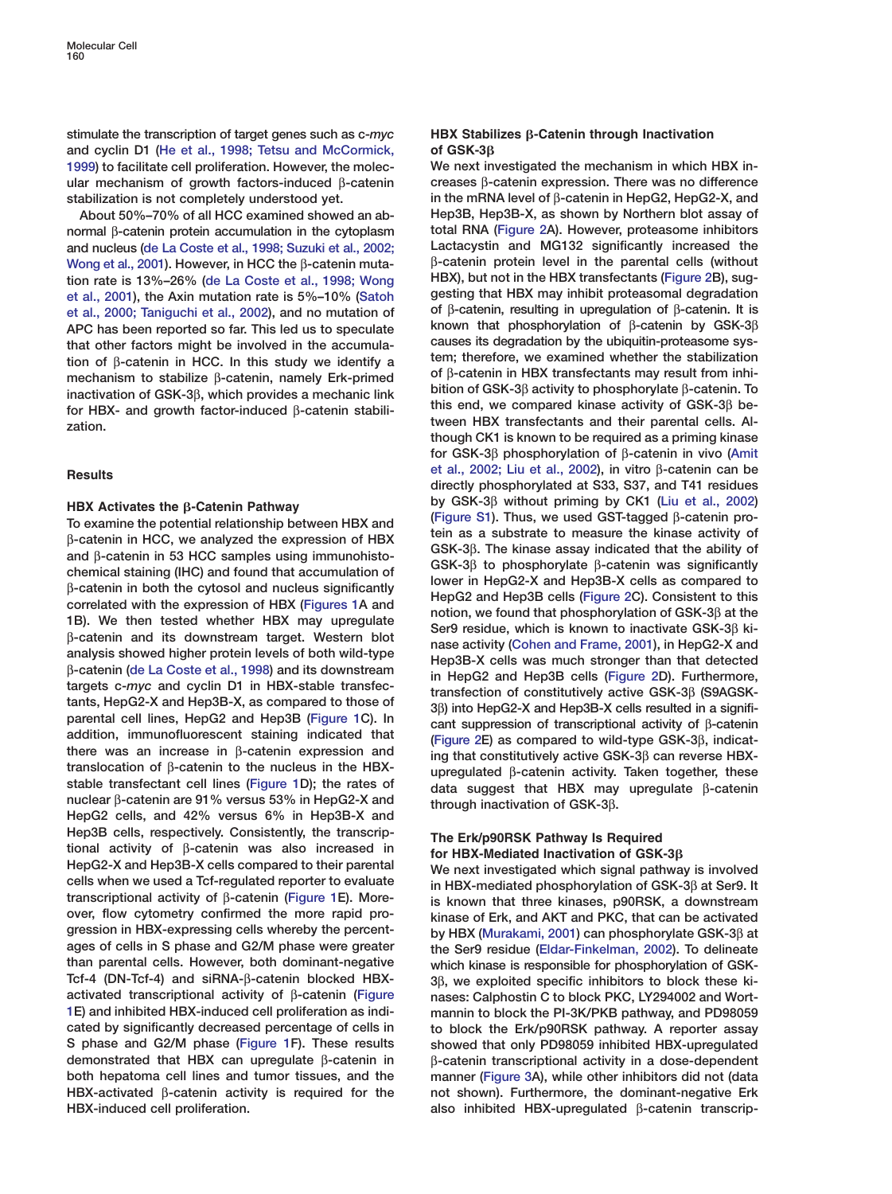**stimulate the transcription of target genes such as c-***myc* **HBX Stabilizes -Catenin through Inactivation and cyclin D1 [\(He et al., 1998; Tetsu and McCormick,](#page-10-0) of GSK-3 [1999\)](#page-10-0) to facilitate cell proliferation. However, the molec- We next investigated the mechanism in which HBX inular mechanism of growth factors-induced** β**-catenin creases** β**-catenin expression. There was no difference stabilization is not completely understood yet. in the mRNA level of** β**-catenin in HepG2, HepG2-X, and**

**normal** β**-catenin protein accumulation in the cytoplasm total RNA [\(Figure 2A](#page-3-0)). However, proteasome inhibitors and nucleus [\(de La Coste et al., 1998; Suzuki et al., 2002;](#page-9-0) Lactacystin and MG132 significantly increased the [Wong et al., 2001](#page-9-0)). However, in HCC the** β-catenin muta-<br> **Bracterin light light in the parents of in the parents of it but in the HBX transfectants (Figure 2B), sug-<br>
<b>HBX**), but not in the HBX transfectants (Figure 2B) **HBX), but not in the HBX transfectants [\(Figure 2B](#page-3-0)), sug- tion rate is 13%–26% [\(de La Coste et al., 1998; Wong](#page-9-0) [et al., 2001\)](#page-9-0), the Axin mutation rate is 5%–10% [\(Satoh](#page-10-0) gesting that HBX may inhibit proteasomal degradation [et al., 2000; Taniguchi et al., 2002\)](#page-10-0), and no mutation of of** β**-catenin, resulting in upregulation of** β**-catenin. It is APC has been reported so far. This led us to speculate known that phosphorylation of** β**-catenin by GSK-3**β that other factors might be involved in the accumula-<br>tion of B-catenin in HCC, In this study we identify a tem; therefore, we examined whether the stabilization tion of β-catenin in HCC. In this study we identify a<br>mechanism to stabilize β-catenin namely Frk-primed of β-catenin in HBX transfectants may result from inhimechanism to stabilize  $\beta$ -catenin, namely Erk-primed<br>inactivation of GSK-3 $\beta$ , which provides a mechanic link<br>for HBX- and growth factor-induced  $\beta$ -catenin stabili-<br>for HBX- and growth factor-induced  $\beta$ -catenin sta **tween HBX transfectants and their parental cells. Al- zation.**

parental cell lines, repoz and repositively. If and the content of transcriptional activity of  $\beta$ -catenin addition, immunofluorescent staining indicated that there was an increase in  $\beta$ -catenin expression and transloc translocation of p-catenin to the nucleus in the HBX-<br>stable transfectant cell lines [\(Figure 1D](#page-2-0)); the rates of data suggest that HBX may upregulate β-catenin<br>nuclear β-catenin are 91% versus 53% in HepG2-X and through in **nuclear** <sup>β</sup>**-catenin are 91% versus 53% in HepG2-X and through inactivation of GSK-3**β**. HepG2 cells, and 42% versus 6% in Hep3B-X and** Hep3B cells, respectively. Consistently, the transcrip-<br>tional activity of  $\beta$ -catenin was also increased in<br>HepG2-X and Hep3B-X cells compared to their parental<br>cells when we used a Tcf-regulated reporter to evaluate in **transcriptional activity of β-catenin [\(Figure 1E](#page-2-0)).** More-<br> **is known that three kinases, p90RSK, a downstream**<br>
over, flow cytometry confirmed the more rapid pro-<br> **kinase of Frk and AKT and PKC**, that can be activated **over, flow cytometry confirmed the more rapid pro- kinase of Erk, and AKT and PKC, that can be activated gression in HBX-expressing cells whereby the percent- by HBX [\(Murakami, 2001\)](#page-10-0) can phosphorylate GSK-3**β **at than parental cells. However, both dominant-negative which kinase is responsible for phosphorylation of GSK-Tcf-4 (DN-Tcf-4) and siRNA-**β**-catenin blocked HBX- 3**β**, we exploited specific inhibitors to block these kiactivated transcriptional activity of** β**-catenin [\(Figure](#page-2-0) nases: Calphostin C to block PKC, LY294002 and Wort-[1E](#page-2-0)) and inhibited HBX-induced cell proliferation as indi- mannin to block the PI-3K/PKB pathway, and PD98059 S phase and G2/M phase [\(Figure 1F](#page-2-0)). These results showed that only PD98059 inhibited HBX-upregulated demonstrated that HBX can upregulate** β**-catenin in** β**-catenin transcriptional activity in a dose-dependent both hepatoma cell lines and tumor tissues, and the manner [\(Figure 3A](#page-4-0)), while other inhibitors did not (data HBX-activated** β**-catenin activity is required for the not shown). Furthermore, the dominant-negative Erk HBX-induced cell proliferation. also inhibited HBX-upregulated** β**-catenin transcrip-**

**About 50%–70% of all HCC examined showed an ab- Hep3B, Hep3B-X, as shown by Northern blot assay of though CK1 is known to be required as a priming kinase for GSK-3**β **phosphorylation of** β**-catenin in vivo [\(Amit](#page-9-0) [et al., 2002; Liu et al., 2002\)](#page-9-0), in vitro** <sup>β</sup>**-catenin can be Results directly phosphorylated at S33, S37, and T41 residues** HBX Activates the  $\beta$ -Catenin Pathway<br>
To examine the potential relationship between HBX and<br>
(Figure S1). Thus, we used GST-tagged  $\beta$ -catenin pro-<br>
for a camples using immunohisto-<br>  $\beta$ -catenin in HCC, we analyzed th

**ages of cells in S phase and G2/M phase were greater the Ser9 residue [\(Eldar-Finkelman, 2002\)](#page-9-0). To delineate** to block the Erk/p90RSK pathway. A reporter assay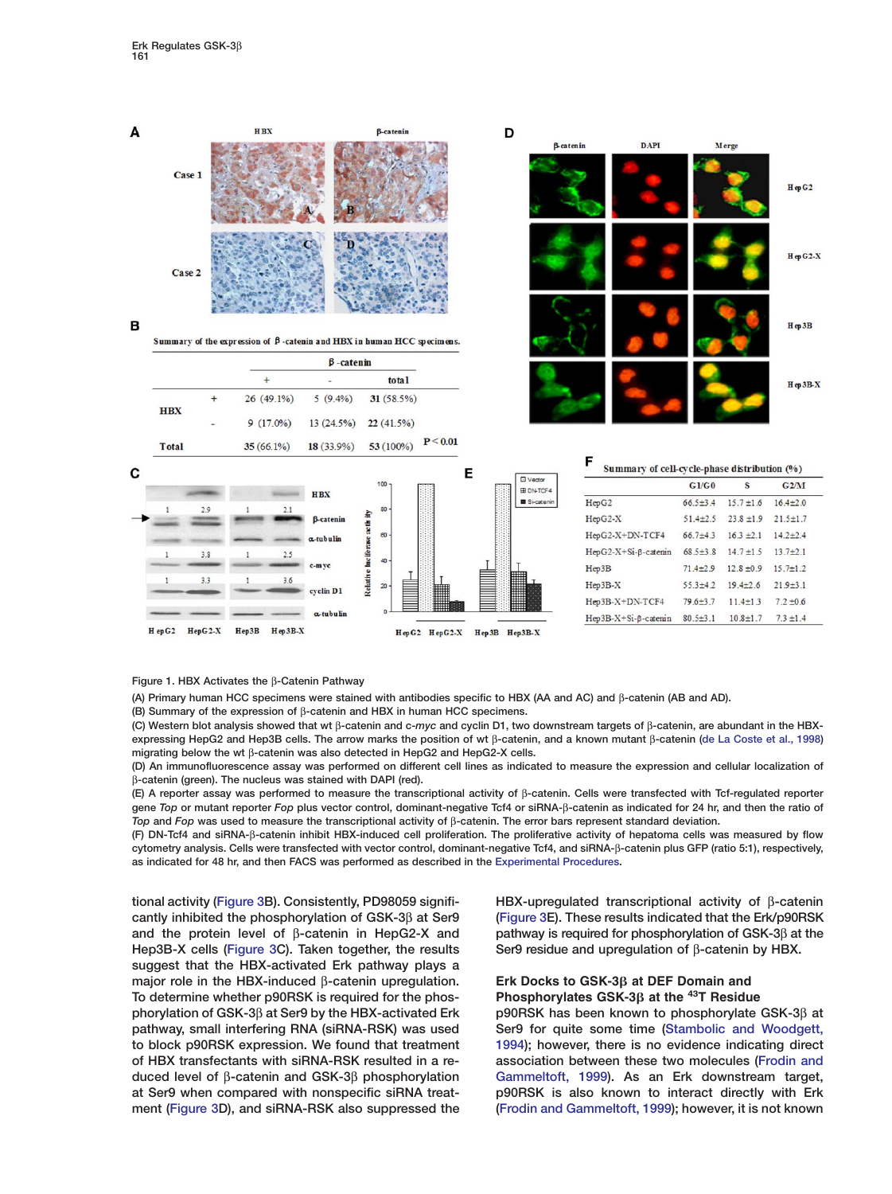<span id="page-2-0"></span>

### **Figure 1. HBX Activates the** β**-Catenin Pathway**

**(A) Primary human HCC specimens were stained with antibodies specific to HBX (AA and AC) and** β**-catenin (AB and AD).**

**(B) Summary of the expression of** β**-catenin and HBX in human HCC specimens.**

**(C) Western blot analysis showed that wt** β**-catenin and c-***myc* **and cyclin D1, two downstream targets of** β**-catenin, are abundant in the HBXexpressing HepG2 and Hep3B cells. The arrow marks the position of wt** β**-catenin, and a known mutant** β**-catenin [\(de La Coste et al., 1998\)](#page-9-0) migrating below the wt** β**-catenin was also detected in HepG2 and HepG2-X cells.**

**(D) An immunofluorescence assay was performed on different cell lines as indicated to measure the expression and cellular localization of** β**-catenin (green). The nucleus was stained with DAPI (red).**

**(E) A reporter assay was performed to measure the transcriptional activity of** β**-catenin. Cells were transfected with Tcf-regulated reporter gene** *Top* **or mutant reporter** *Fop* **plus vector control, dominant-negative Tcf4 or siRNA-**β**-catenin as indicated for 24 hr, and then the ratio of** *Top* **and** *Fop* **was used to measure the transcriptional activity of** β**-catenin. The error bars represent standard deviation.**

**(F) DN-Tcf4 and siRNA-**β**-catenin inhibit HBX-induced cell proliferation. The proliferative activity of hepatoma cells was measured by flow cytometry analysis. Cells were transfected with vector control, dominant-negative Tcf4, and siRNA-**β**-catenin plus GFP (ratio 5:1), respectively, as indicated for 48 hr, and then FACS was performed as described in the [Experimental Procedures.](#page-9-0)**

**tional activity [\(Figure 3B](#page-4-0)). Consistently, PD98059 signifi- HBX-upregulated transcriptional activity of** β**-catenin cantly inhibited the phosphorylation of GSK-3**β **at Ser9 [\(Figure 3E](#page-4-0)). These results indicated that the Erk/p90RSK and the protein level of** β**-catenin in HepG2-X and pathway is required for phosphorylation of GSK-3**β **at the Hep3B-X cells [\(Figure 3C](#page-4-0)). Taken together, the results Ser9 residue and upregulation of** β**-catenin by HBX. suggest that the HBX-activated Erk pathway plays a major role in the HBX-induced** β**-catenin upregulation. Erk Docks to GSK-3 at DEF Domain and Phosphorylates GSK-3 at the <sup>43</sup> To determine whether p90RSK is required for the phos- T Residue phorylation of GSK-3**β **at Ser9 by the HBX-activated Erk p90RSK has been known to phosphorylate GSK-3**β **at pathway, small interfering RNA (siRNA-RSK) was used Ser9 for quite some time [\(Stambolic and Woodgett,](#page-10-0) to block p90RSK expression. We found that treatment [1994](#page-10-0)); however, there is no evidence indicating direct of HBX transfectants with siRNA-RSK resulted in a re- association between these two molecules [\(Frodin and](#page-9-0) duced level of** β**-catenin and GSK-3**β **phosphorylation [Gammeltoft, 1999\)](#page-9-0). As an Erk downstream target, at Ser9 when compared with nonspecific siRNA treat- p90RSK is also known to interact directly with Erk ment [\(Figure 3](#page-4-0)D), and siRNA-RSK also suppressed the [\(Frodin and Gammeltoft, 1999\)](#page-9-0); however, it is not known**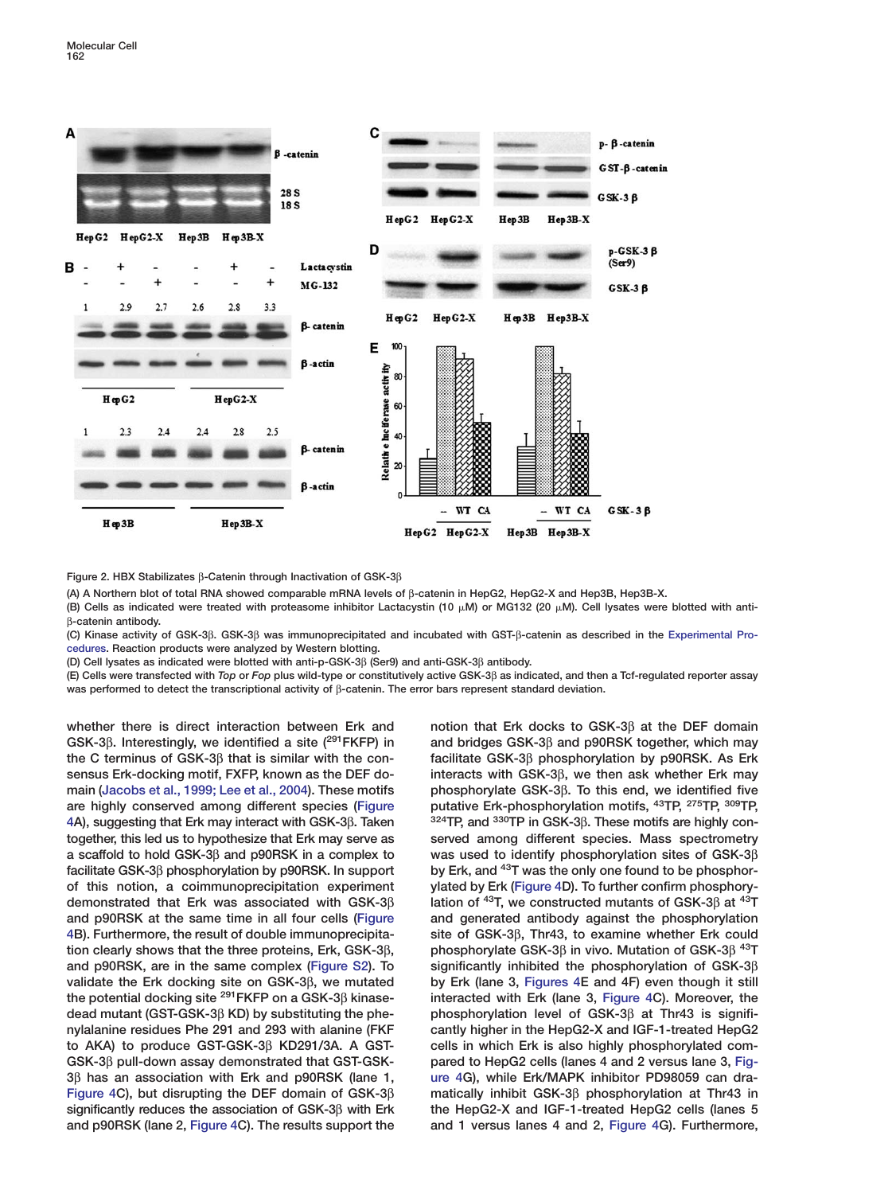<span id="page-3-0"></span>

**Figure 2. HBX Stabilizates** β**-Catenin through Inactivation of GSK-3**β

**(A) A Northern blot of total RNA showed comparable mRNA levels of** β**-catenin in HepG2, HepG2-X and Hep3B, Hep3B-X.**

(B) Cells as indicated were treated with proteasome inhibitor Lactacystin (10 μM) or MG132 (20 μM). Cell lysates were blotted with antiβ**-catenin antibody.**

**(C) Kinase activity of GSK-3**β**. GSK-3**β **was immunoprecipitated and incubated with GST-**β**-catenin as described in the [Experimental Pro](#page-9-0)[cedures.](#page-9-0) Reaction products were analyzed by Western blotting.**

**(D) Cell lysates as indicated were blotted with anti-p-GSK-3**β **(Ser9) and anti-GSK-3**β **antibody.**

**(E) Cells were transfected with** *Top* **or** *Fop* **plus wild-type or constitutively active GSK-3**β **as indicated, and then a Tcf-regulated reporter assay was performed to detect the transcriptional activity of** β**-catenin. The error bars represent standard deviation.**

**whether there is direct interaction between Erk and notion that Erk docks to GSK-3**β **at the DEF domain GSK-3**β. Interestingly, we identified a site (<sup>291</sup>FKFP) in and bridges GSK-3β and p90RSK together, which may **the C terminus of GSK-3**β **that is similar with the con- facilitate GSK-3**β **phosphorylation by p90RSK. As Erk sensus Erk-docking motif, FXFP, known as the DEF do- interacts with GSK-3**β**, we then ask whether Erk may main [\(Jacobs et al., 1999; Lee et al., 2004\)](#page-10-0). These motifs phosphorylate GSK-3**β**. To this end, we identified five putative Erk-phosphorylation motifs,**  $43TP$ **,**  $275TP$ **,**  $309TP$ **,**  $275TP$ **,**  $309TP$ **,**  $275TP$ **,**  $309TP$ **,**  $275TP$ **,**  $309TP$ **,**  $399TP$ **,**  $399TP$ **,**  $399TP$ **,**  $399TP$ **,**  $399TP$ **,**  $399TP$ **,**  $399TP$ **,**  $399TP$ **,**  $399TP$ **,**  $399TP$ **,**  $399TP$ **,**  $399TP$ **,**  $399TP$ **,**  $399TP$ **, [4A](#page-5-0)), suggesting that Erk may interact with GSK-3**β**. Taken 324TP, and 330TP in GSK-3**β**. These motifs are highly contogether, this led us to hypothesize that Erk may serve as served among different species. Mass spectrometry a scaffold to hold GSK-3**β **and p90RSK in a complex to was used to identify phosphorylation sites of GSK-3**β **by Erk, and <sup>43</sup> facilitate GSK-3**β **phosphorylation by p90RSK. In support T was the only one found to be phosphorof this notion, a coimmunoprecipitation experiment ylated by Erk [\(Figure 4D](#page-5-0)). To further confirm phosphorylation of 43T, we constructed mutants of GSK-3β <b>at**  $43T$ , we constructed mutants of GSK-3β at  $43T$ **and p90RSK at the same time in all four cells [\(Figure](#page-5-0) and generated antibody against the phosphorylation [4B](#page-5-0)). Furthermore, the result of double immunoprecipita- site of GSK-3**β**, Thr43, to examine whether Erk could tion clearly shows that the three proteins, Erk, GSK-3**β**, phosphorylate GSK-3**β **in vivo. Mutation of GSK-3**β **43T and p90RSK, are in the same complex (Figure S2). To significantly inhibited the phosphorylation of GSK-3**β **validate the Erk docking site on GSK-3**β**, we mutated by Erk (lane 3, [Figures 4E](#page-5-0) and 4F) even though it still the potential docking site interacted with Erk (lane 3, [Figure 4C](#page-5-0)). Moreover, the 291FKFP on a GSK-3**β **kinasedead mutant (GST-GSK-3**β **KD) by substituting the phe- phosphorylation level of GSK-3**β **at Thr43 is signifinylalanine residues Phe 291 and 293 with alanine (FKF cantly higher in the HepG2-X and IGF-1-treated HepG2 to AKA) to produce GST-GSK-3**β **KD291/3A. A GST- cells in which Erk is also highly phosphorylated com-GSK-3**β **pull-down assay demonstrated that GST-GSK- pared to HepG2 cells (lanes 4 and 2 versus lane 3, [Fig-](#page-5-0)3**β **has an association with Erk and p90RSK (lane 1, [ure 4G](#page-5-0)), while Erk/MAPK inhibitor PD98059 can dra-[Figure 4C](#page-5-0)), but disrupting the DEF domain of GSK-3**β **matically inhibit GSK-3**β **phosphorylation at Thr43 in significantly reduces the association of GSK-3**β **with Erk the HepG2-X and IGF-1-treated HepG2 cells (lanes 5 and p90RSK (lane 2, [Figure 4C](#page-5-0)). The results support the and 1 versus lanes 4 and 2, [Figure 4G](#page-5-0)). Furthermore,**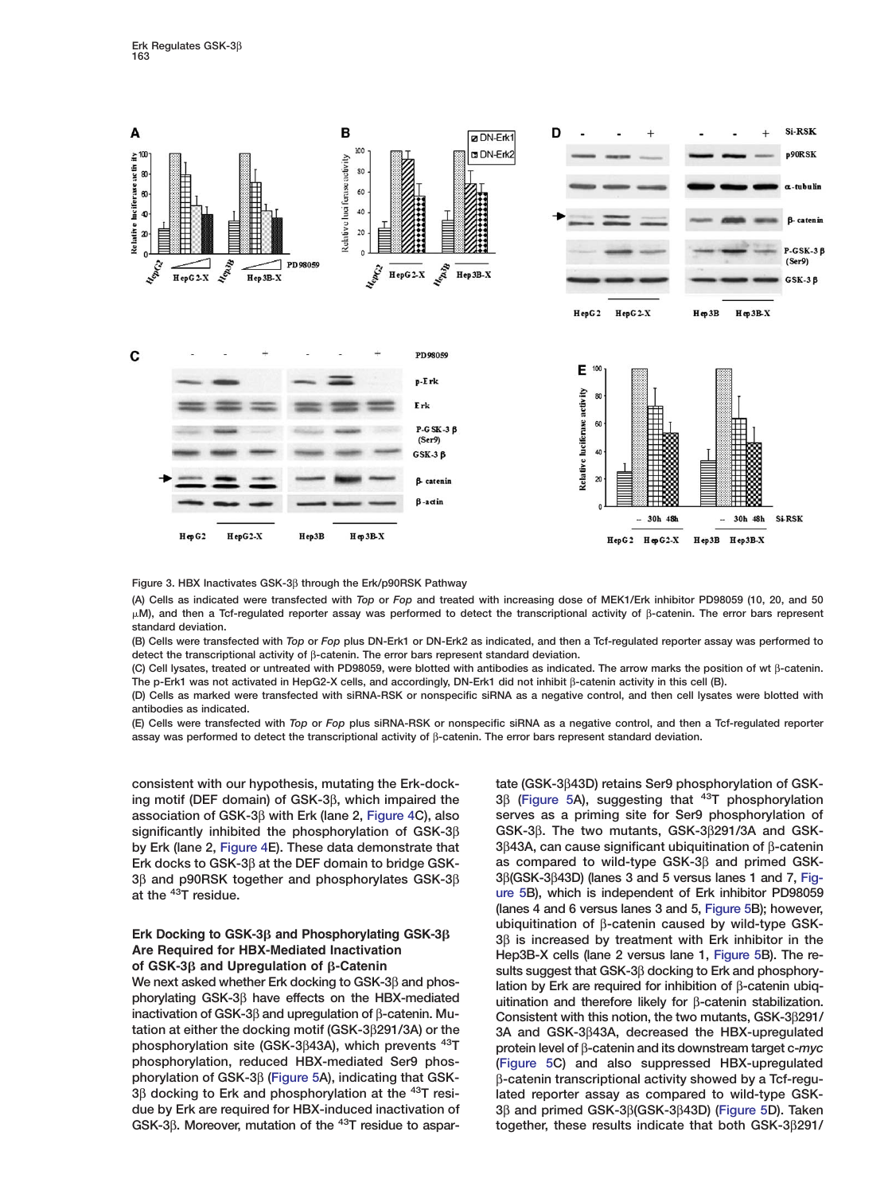<span id="page-4-0"></span>

**Figure 3. HBX Inactivates GSK-3**β **through the Erk/p90RSK Pathway**

**(A) Cells as indicated were transfected with** *Top* **or** *Fop* **and treated with increasing dose of MEK1/Erk inhibitor PD98059 (10, 20, and 50 M), and then a Tcf-regulated reporter assay was performed to detect the transcriptional activity of** β**-catenin. The error bars represent standard deviation.**

**(B) Cells were transfected with** *Top* **or** *Fop* **plus DN-Erk1 or DN-Erk2 as indicated, and then a Tcf-regulated reporter assay was performed to detect the transcriptional activity of** β**-catenin. The error bars represent standard deviation.**

**(C) Cell lysates, treated or untreated with PD98059, were blotted with antibodies as indicated. The arrow marks the position of wt** β**-catenin. The p-Erk1 was not activated in HepG2-X cells, and accordingly, DN-Erk1 did not inhibit** β**-catenin activity in this cell (B).**

**(D) Cells as marked were transfected with siRNA-RSK or nonspecific siRNA as a negative control, and then cell lysates were blotted with antibodies as indicated.**

**(E) Cells were transfected with** *Top* **or** *Fop* **plus siRNA-RSK or nonspecific siRNA as a negative control, and then a Tcf-regulated reporter assay was performed to detect the transcriptional activity of** β**-catenin. The error bars represent standard deviation.**

**consistent with our hypothesis, mutating the Erk-dock- tate (GSK-3**β**43D) retains Ser9 phosphorylation of GSKassociation of GSK-3**β **with Erk (lane 2, [Figure 4C](#page-5-0)), also serves as a priming site for Ser9 phosphorylation of significantly inhibited the phosphorylation of GSK-3**β **GSK-3**β**. The two mutants, GSK-3**β**291/3A and GSK-Erk docks to GSK-3**β **at the DEF domain to bridge GSK- as compared to wild-type GSK-3**β **and primed GSK-3**β and p90RSK together and phosphorylates GSK-3 $β$ **at the 43T residue. [ure 5](#page-6-0)B), which is independent of Erk inhibitor PD98059**

**3**β **[\(Figure 5A](#page-6-0)), suggesting that <sup>43</sup> ing motif (DEF domain) of GSK-3**β**, which impaired the T phosphorylation by Erk (lane 2, [Figure 4E](#page-5-0)). These data demonstrate that 3**β**43A, can cause significant ubiquitination of** β**-catenin (lanes 4 and 6 versus lanes 3 and 5, [Figure 5B](#page-6-0)); however,** Erk Docking to GSK-3β and Phosphorylating GSK-3β<br>
Are Required for HBX-Mediated Inactivation<br>
of GSK-3β and Upregulation of β-Catenin<br>
Menext asked whether Erk docking to GSK-3β and phos-<br>
Menext asked whether Erk docking **inactivation of GSK-3β have effects on the HBX-mediated** uitination and therefore likely for β-catenin stabilization.<br>inactivation of GSK-3β and upregulation of β-catenin. Mu-<br>tation at either the docking motif (GSK-3β29 **tation at either the docking motif (GSK-3**β**291/3A) or the 3A and GSK-3**β**43A, decreased the HBX-upregulated phosphorylation site (GSK-3**β**43A), which prevents 43T protein level of** β**-catenin and its downstream target c-***myc* **phosphorylation, reduced HBX-mediated Ser9 phos- [\(Figure 5C](#page-6-0)) and also suppressed HBX-upregulated phorylation of GSK-3**β **[\(Figure 5A](#page-6-0)), indicating that GSK-** β**-catenin transcriptional activity showed by a Tcf-regu-3**β **docking to Erk and phosphorylation at the 43T resi- lated reporter assay as compared to wild-type GSKdue by Erk are required for HBX-induced inactivation of 3**β **and primed GSK-3**β**(GSK-3**β**43D) [\(Figure 5D](#page-6-0)). Taken GSK-3**β**. Moreover, mutation of the together, these results indicate that both GSK-3**β**291/ 43T residue to aspar-**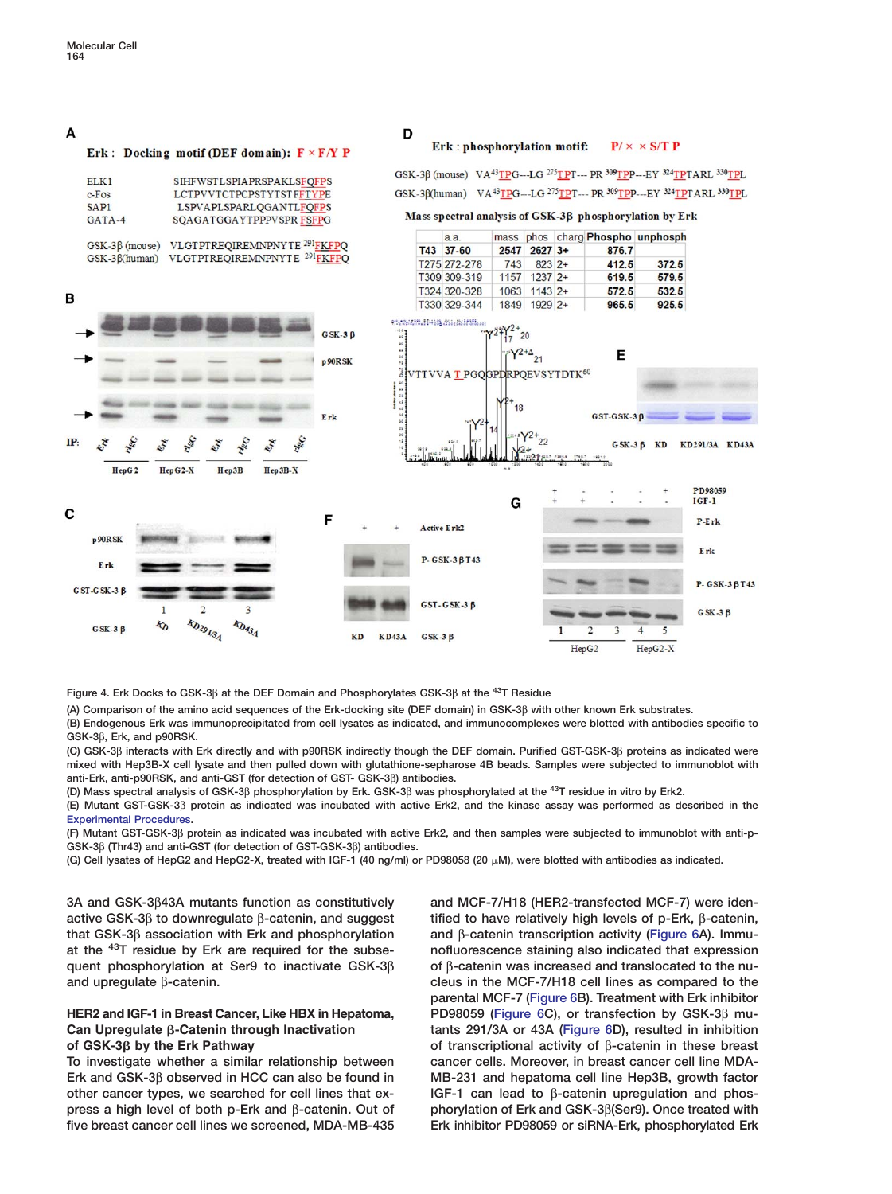## <span id="page-5-0"></span>A

B

### Erk: Docking motif (DEF domain):  $F \times F/Y$  P

| ELK1             | <b>SIHFWSTLSPIAPRSPAKLSFOFPS</b> |
|------------------|----------------------------------|
| $c$ -Fos         | <b>LCTPVVTCTPCPSTYTSTFFTYPE</b>  |
| SAP <sub>1</sub> | LSPVAPLSPARLOGANTLFOFPS          |
| $GATA-4$         | SOAGATGGAYTPPPVSPR FSFPG         |

GSK-3β (mouse) VLGTPTREQIREMNPNYTE<sup>291</sup>FKFPQ GSK-3ß(human) VLGTPTREQIREMNPNYTE<sup>291</sup>FKFPQ

### Erk: phosphorylation motif:  $P/ \times \times S/T$  P

GSK-3β (mouse) VA<sup>43</sup>TPG---LG <sup>275</sup>TPT--- PR <sup>309</sup>TPP---ΕΥ <sup>324</sup>TPTARL <sup>330</sup>TPL GSK-3β(human) VA<sup>43</sup>TPG---LG<sup>275</sup>TPT--- PR 309<sub>TPP---</sub>EY 324<sub>TPT</sub>ARL 330<sub>TPL</sub>

### Mass spectral analysis of GSK-3β phosphorylation by Erk

| $a$ $a$<br>T43 37-60 |      | 2547 2627 3+ | 876.7 | mass phos charg Phospho unphosph |
|----------------------|------|--------------|-------|----------------------------------|
|                      |      |              |       |                                  |
| T309 309-319         |      | 1157 1237 2+ | 619.5 | 579.5                            |
| T324 320-328         |      | 1063 1143 2+ | 572.5 | 532.5                            |
| T330 329-344         | 1849 | $1929$ 2+    | 965.5 | 925.5                            |



D

**Figure 4. Erk Docks to GSK-3**β **at the DEF Domain and Phosphorylates GSK-3**β **at the 43T Residue**

**(A) Comparison of the amino acid sequences of the Erk-docking site (DEF domain) in GSK-3**β **with other known Erk substrates.**

**(B) Endogenous Erk was immunoprecipitated from cell lysates as indicated, and immunocomplexes were blotted with antibodies specific to GSK-3**β**, Erk, and p90RSK.**

**(C) GSK-3**β **interacts with Erk directly and with p90RSK indirectly though the DEF domain. Purified GST-GSK-3**β **proteins as indicated were mixed with Hep3B-X cell lysate and then pulled down with glutathione-sepharose 4B beads. Samples were subjected to immunoblot with anti-Erk, anti-p90RSK, and anti-GST (for detection of GST- GSK-3**β**) antibodies.**

**(D) Mass spectral analysis of GSK-3**β **phosphorylation by Erk. GSK-3**β **was phosphorylated at the 43T residue in vitro by Erk2.**

**(E) Mutant GST-GSK-3**β **protein as indicated was incubated with active Erk2, and the kinase assay was performed as described in the [Experimental Procedures](#page-9-0).**

**(F) Mutant GST-GSK-3**β **protein as indicated was incubated with active Erk2, and then samples were subjected to immunoblot with anti-p-GSK-3**β **(Thr43) and anti-GST (for detection of GST-GSK-3**β**) antibodies.**

**(G) Cell lysates of HepG2 and HepG2-X, treated with IGF-1 (40 ng/ml) or PD98058 (20 M), were blotted with antibodies as indicated.**

**3A and GSK-3**β**43A mutants function as constitutively and MCF-7/H18 (HER2-transfected MCF-7) were idenactive GSK-3**β **to downregulate** β**-catenin, and suggest tified to have relatively high levels of p-Erk,** β**-catenin, that GSK-3**β **association with Erk and phosphorylation and** β**-catenin transcription activity [\(Figure 6A](#page-7-0)). Immuat the nofluorescence staining also indicated that expression 43T residue by Erk are required for the subsequent phosphorylation at Ser9 to inactivate GSK-3**β **of** β**-catenin was increased and translocated to the nuand upregulate** β**-catenin. cleus in the MCF-7/H18 cell lines as compared to the**

**Erk and GSK-3**β **observed in HCC can also be found in MB-231 and hepatoma cell line Hep3B, growth factor other cancer types, we searched for cell lines that ex- IGF-1 can lead to** β**-catenin upregulation and phospress a high level of both p-Erk and** β**-catenin. Out of phorylation of Erk and GSK-3**β**(Ser9). Once treated with five breast cancer cell lines we screened, MDA-MB-435 Erk inhibitor PD98059 or siRNA-Erk, phosphorylated Erk**

**parental MCF-7 [\(Figure 6B](#page-7-0)). Treatment with Erk inhibitor HER2 and IGF-1 in Breast Cancer, Like HBX in Hepatoma, PD98059 [\(Figure 6](#page-7-0)C), or transfection by GSK-3**β **mu-Can Upregulate -Catenin through Inactivation tants 291/3A or 43A [\(Figure 6D](#page-7-0)), resulted in inhibition of GSK-3 by the Erk Pathway of transcriptional activity of** β**-catenin in these breast** To investigate whether a similar relationship between cancer cells. Moreover, in breast cancer cell line MDA-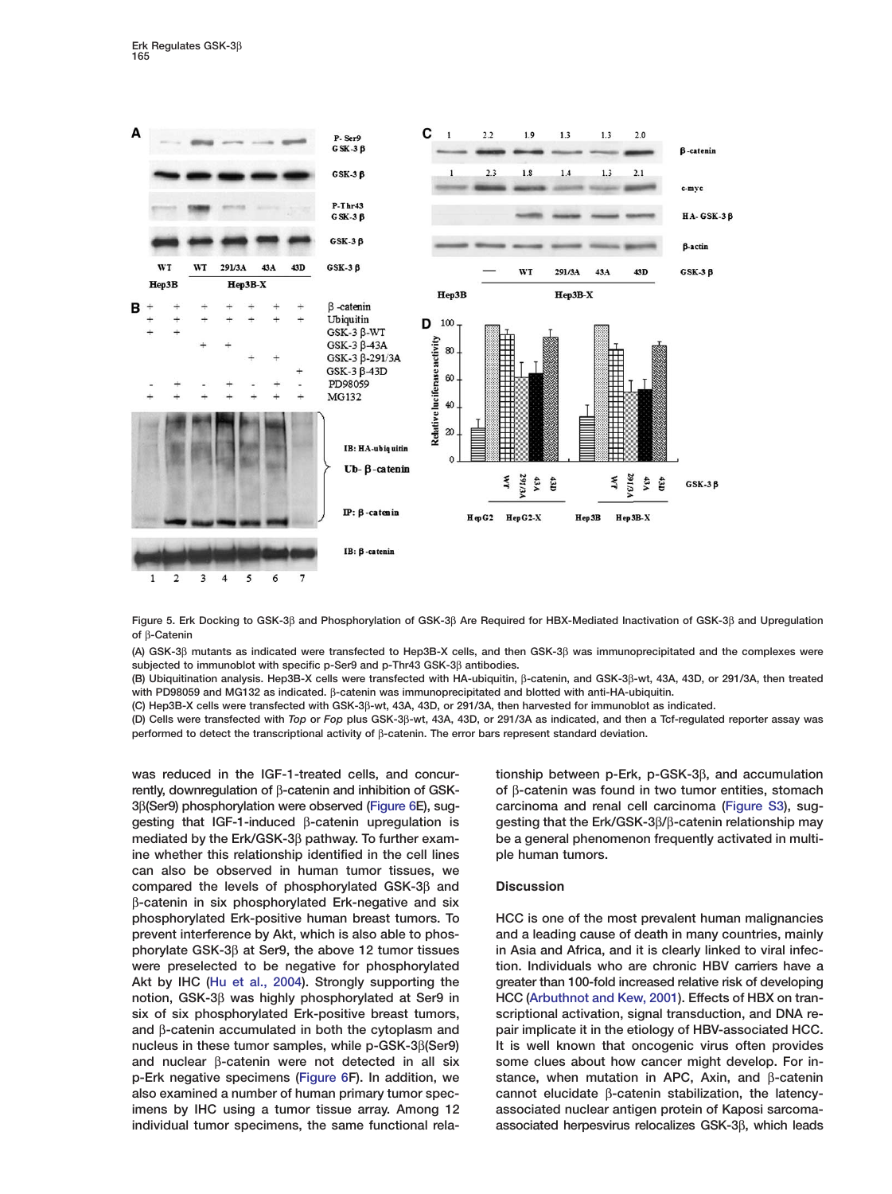<span id="page-6-0"></span>

**Figure 5. Erk Docking to GSK-3**β **and Phosphorylation of GSK-3**β **Are Required for HBX-Mediated Inactivation of GSK-3**β **and Upregulation of** β**-Catenin**

**(A) GSK-3**β **mutants as indicated were transfected to Hep3B-X cells, and then GSK-3**β **was immunoprecipitated and the complexes were subjected to immunoblot with specific p-Ser9 and p-Thr43 GSK-3**β **antibodies.**

**(B) Ubiquitination analysis. Hep3B-X cells were transfected with HA-ubiquitin,** β**-catenin, and GSK-3**β**-wt, 43A, 43D, or 291/3A, then treated with PD98059 and MG132 as indicated.** β**-catenin was immunoprecipitated and blotted with anti-HA-ubiquitin.**

**(C) Hep3B-X cells were transfected with GSK-3**β**-wt, 43A, 43D, or 291/3A, then harvested for immunoblot as indicated.**

**(D) Cells were transfected with** *Top* **or** *Fop* **plus GSK-3**β**-wt, 43A, 43D, or 291/3A as indicated, and then a Tcf-regulated reporter assay was performed to detect the transcriptional activity of** β**-catenin. The error bars represent standard deviation.**

**rently, downregulation of** β**-catenin and inhibition of GSK- of** β**-catenin was found in two tumor entities, stomach 3**β**(Ser9) phosphorylation were observed [\(Figure 6E](#page-7-0)), sug- carcinoma and renal cell carcinoma (Figure S3), suggesting that IGF-1-induced** β**-catenin upregulation is gesting that the Erk/GSK-3**β**/**β**-catenin relationship may mediated by the Erk/GSK-3**β **pathway. To further exam- be a general phenomenon frequently activated in multiine whether this relationship identified in the cell lines ple human tumors. can also be observed in human tumor tissues, we compared the levels of phosphorylated GSK-3**β **and Discussion** β**-catenin in six phosphorylated Erk-negative and six phosphorylated Erk-positive human breast tumors. To HCC is one of the most prevalent human malignancies prevent interference by Akt, which is also able to phos- and a leading cause of death in many countries, mainly phorylate GSK-3**β **at Ser9, the above 12 tumor tissues in Asia and Africa, and it is clearly linked to viral infecwere preselected to be negative for phosphorylated tion. Individuals who are chronic HBV carriers have a Akt by IHC [\(Hu et al., 2004](#page-10-0)). Strongly supporting the greater than 100-fold increased relative risk of developing notion, GSK-3**β **was highly phosphorylated at Ser9 in HCC [\(Arbuthnot and Kew, 2001\)](#page-9-0). Effects of HBX on tran**six of six phosphorylated Erk-positive breast tumors, scriptional activation, signal transduction, and DNA re**and** β**-catenin accumulated in both the cytoplasm and pair implicate it in the etiology of HBV-associated HCC. nucleus in these tumor samples, while p-GSK-3**β**(Ser9) It is well known that oncogenic virus often provides and nuclear** β**-catenin were not detected in all six some clues about how cancer might develop. For inp-Erk negative specimens [\(Figure 6F](#page-7-0)). In addition, we stance, when mutation in APC, Axin, and** β**-catenin also examined a number of human primary tumor spec- cannot elucidate** β**-catenin stabilization, the latencyimens by IHC using a tumor tissue array. Among 12 associated nuclear antigen protein of Kaposi sarcomaindividual tumor specimens, the same functional rela- associated herpesvirus relocalizes GSK-3**β**, which leads**

**was reduced in the IGF-1-treated cells, and concur- tionship between p-Erk, p-GSK-3**β**, and accumulation**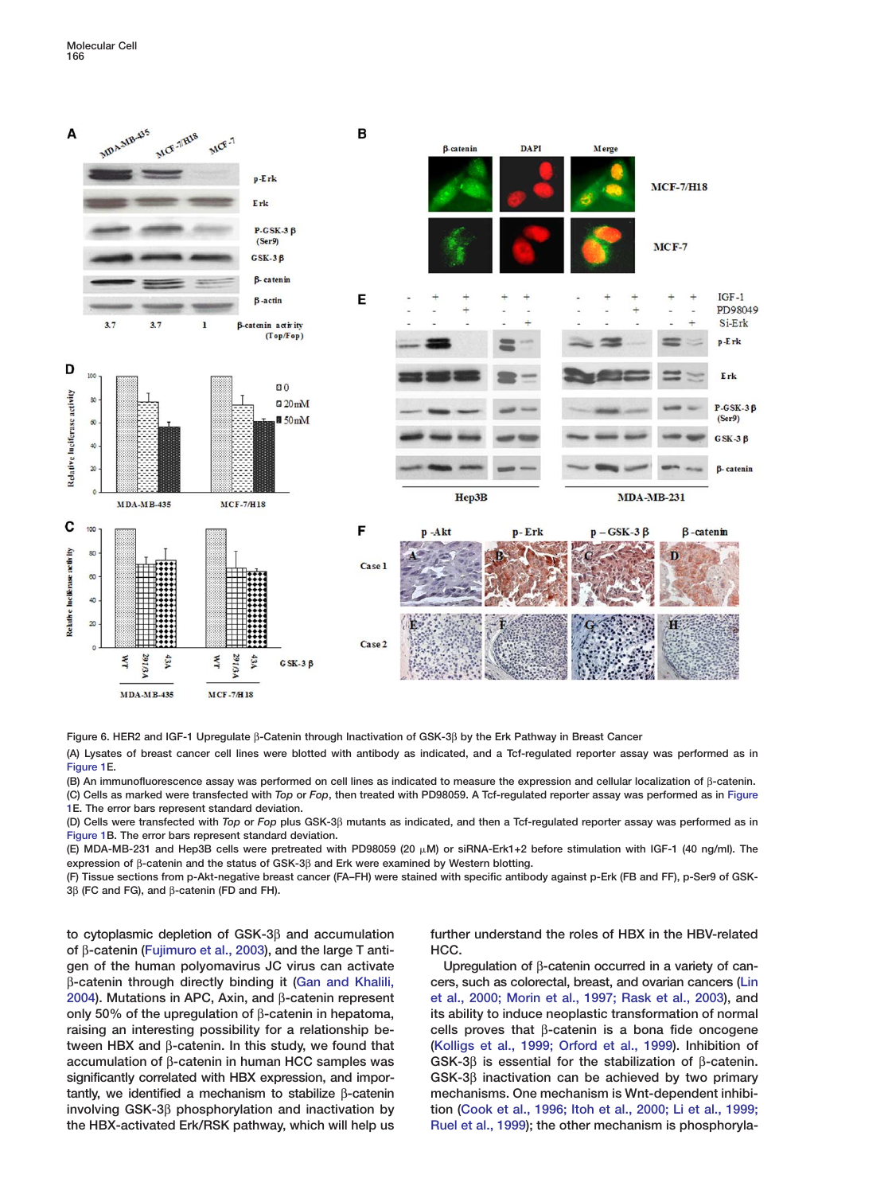<span id="page-7-0"></span>

**Figure 6. HER2 and IGF-1 Upregulate** β**-Catenin through Inactivation of GSK-3**β **by the Erk Pathway in Breast Cancer**

**(A) Lysates of breast cancer cell lines were blotted with antibody as indicated, and a Tcf-regulated reporter assay was performed as in [Figure 1E](#page-9-0).**

**(B) An immunofluorescence assay was performed on cell lines as indicated to measure the expression and cellular localization of** β**-catenin.**

**(C) Cells as marked were transfected with** *Top* **or** *Fop***, then treated with PD98059. A Tcf-regulated reporter assay was performed as in [Figure](#page-9-0) [1E](#page-9-0). The error bars represent standard deviation.**

**(D) Cells were transfected with** *Top* **or** *Fop* **plus GSK-3**β **mutants as indicated, and then a Tcf-regulated reporter assay was performed as in [Figure 1B](#page-9-0). The error bars represent standard deviation.**

**(E) MDA-MB-231 and Hep3B cells were pretreated with PD98059 (20 M) or siRNA-Erk1+2 before stimulation with IGF-1 (40 ng/ml). The expression of** β**-catenin and the status of GSK-3**β **and Erk were examined by Western blotting.**

**(F) Tissue sections from p-Akt-negative breast cancer (FA–FH) were stained with specific antibody against p-Erk (FB and FF), p-Ser9 of GSK-3**β **(FC and FG), and** β**-catenin (FD and FH).**

**of** β**-catenin [\(Fujimuro et al., 2003\)](#page-10-0), and the large T anti- HCC. gen of the human polyomavirus JC virus can activate Upregulation of** β**-catenin occurred in a variety of can**β**-catenin through directly binding it [\(Gan and Khalili,](#page-10-0) cers, such as colorectal, breast, and ovarian cancers [\(Lin](#page-10-0) [2004\)](#page-10-0). Mutations in APC, Axin, and** β**-catenin represent [et al., 2000; Morin et al., 1997; Rask et al., 2003\)](#page-10-0), and only 50% of the upregulation of** β**-catenin in hepatoma, its ability to induce neoplastic transformation of normal raising an interesting possibility for a relationship be- cells proves that** β**-catenin is a bona fide oncogene tween HBX and** β**-catenin. In this study, we found that [\(Kolligs et al., 1999; Orford et al., 1999\)](#page-10-0). Inhibition of accumulation of** β**-catenin in human HCC samples was GSK-3**β **is essential for the stabilization of** β**-catenin. significantly correlated with HBX expression, and impor- GSK-3**β **inactivation can be achieved by two primary tantly, we identified a mechanism to stabilize** β**-catenin mechanisms. One mechanism is Wnt-dependent inhibiinvolving GSK-3**β **phosphorylation and inactivation by tion [\(Cook et al., 1996; Itoh et al., 2000; Li et al., 1999;](#page-9-0)**

**to cytoplasmic depletion of GSK-3**β **and accumulation further understand the roles of HBX in the HBV-related**

**the HBX-activated Erk/RSK pathway, which will help us [Ruel et al., 1999\)](#page-9-0); the other mechanism is phosphoryla-**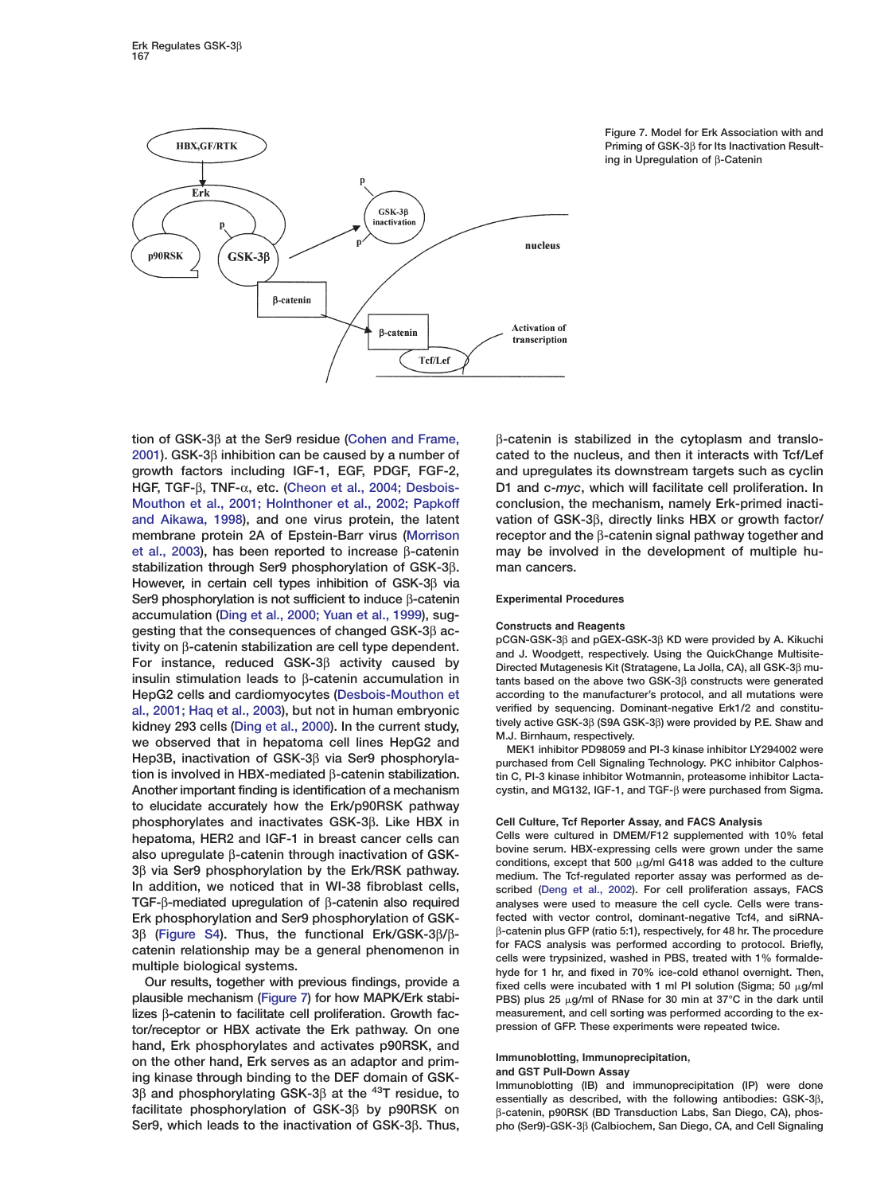

**Figure 7. Model for Erk Association with and Priming of GSK-3**β **for Its Inactivation Resulting in Upregulation of** β**-Catenin**

**[2001](#page-9-0)). GSK-3**β **inhibition can be caused by a number of cated to the nucleus, and then it interacts with Tcf/Lef growth factors including IGF-1, EGF, PDGF, FGF-2, and upregulates its downstream targets such as cyclin HGF, TGF-**β**, TNF-**α**, etc. [\(Cheon et al., 2004; Desbois-](#page-9-0) D1 and c-***myc***, which will facilitate cell proliferation. In [Mouthon et al., 2001; Holnthoner et al., 2002; Papkoff](#page-9-0) conclusion, the mechanism, namely Erk-primed inacti[and Aikawa, 1998](#page-9-0)), and one virus protein, the latent vation of GSK-3**β**, directly links HBX or growth factor/ membrane protein 2A of Epstein-Barr virus [\(Morrison](#page-10-0) receptor and the** β**-catenin signal pathway together and [et al., 2003\)](#page-10-0), has been reported to increase** β**-catenin may be involved in the development of multiple hustabilization through Ser9 phosphorylation of GSK-3**β**. man cancers. However, in certain cell types inhibition of GSK-3**β **via Ser9 phosphorylation is not sufficient to induce** β**-catenin Experimental Procedures accumulation [\(Ding et al., 2000; Yuan et al., 1999\)](#page-9-0), sug-Constructs and Reagents**<br> **Constructs and Reagents**<br> **pCGN-GSK-3**β **and pGEX-GSK-3**β **KD** were provided by A. Kikuchi tivity on  $\beta$ -catenin stabilization are cell type dependent.<br>
For instance, reduced GSK-3 $\beta$  activity caused by<br>
insulin stimulation leads to  $\beta$ -catenin accumulation in tants based on the above two GSK-3B constructs w **HepG2 cells and cardiomyocytes [\(Desbois-Mouthon et](#page-9-0) according to the manufacturer's protocol, and all mutations were [al., 2001; Haq et al., 2003](#page-9-0)), but not in human embryonic** verified by sequencing. Dominant-negative Erk1/2 and constitu-<br> **kidney 293 cells (Ding et al., 2000), In the current study** tively active GSK-3β (S9A GSK-3β) wer kidney 293 cells [\(Ding et al., 2000\)](#page-9-0). In the current study,<br>we observed that in hepatoma cell lines HepG2 and<br>WEK1 inhibitor PD98059 and PI-3 kinase inhibitor LY294002 were **Hep3B, inactivation of GSK-3**β **via Ser9 phosphoryla- purchased from Cell Signaling Technology. PKC inhibitor Calphos-Another important finding is identification of a mechanism cystin, and MG132, IGF-1, and TGF-**β **were purchased from Sigma. to elucidate accurately how the Erk/p90RSK pathway phosphorylates and inactivates GSK-3**β**. Like HBX in Cell Culture, Tcf Reporter Assay, and FACS Analysis** hepatoma, HER2 and IGF-1 in breast cancer cells can<br>also upregulate  $\beta$ -catenin through inactivation of GSK-<br>3 $\beta$  via Ser9 phosphorylation by the Erk/RSK pathway.<br>3 $\beta$  via Ser9 phosphorylation by the Erk/RSK pathway.<br>3 **In addition, we noticed that in WI-38 fibroblast cells, scribed [\(Deng et al., 2002\)](#page-9-0). For cell proliferation assays, FACS TGF-**β**-mediated upregulation of** β**-catenin also required analyses were used to measure the cell cycle. Cells were trans-Erk phosphorylation and Ser9 phosphorylation of GSK- fected with vector control, dominant-negative Tcf4, and siRNA-**

lizes β-catenin to facilitate cell proliferation. Growth fac-<br>
tor/receptor or HBX activate the Frk pathway On one Pression of GFP. These experiments were repeated twice. tor/receptor or HBX activate the Erk pathway. On one **hand, Erk phosphorylates and activates p90RSK, and** on the other hand, Erk serves as an adaptor and prim-<br>ing kinase through binding to the DEF domain of GSK-<br> $\frac{3}{\beta}$  and phosphorylating GSK-3 $\beta$  at the <sup>43</sup>T residue, to<br>seentially as described, with the following anti

**tion of GSK-3**β **at the Ser9 residue [\(Cohen and Frame,](#page-9-0)** β**-catenin is stabilized in the cytoplasm and translo-**

**insulin stimulation leads to** β**-catenin accumulation in tants based on the above two GSK-3**β **constructs were generated**

tin C. PI-3 kinase inhibitor Wotmannin, proteasome inhibitor Lacta-

 $3\beta$  (Figure S4). Thus, the functional Erk/GSK-3 $\beta$ / $\beta$ -<br>catenin plus GFP (ratio 5:1), respectively, for 48 hr. The procedure<br>catenin relationship may be a general phenomenon in<br>multiple biological systems.<br>Our results fixed cells were incubated with 1 ml PI solution (Sigma; 50  $\mu$ g/ml **plausible mechanism (Figure 7) for how MAPK/Erk stabi-** PBS) plus 25  $\mu$ g/ml of RNase for 30 min at 37°C in the dark until

**facilitate phosphorylation of GSK-3**β **by p90RSK on** β**-catenin, p90RSK (BD Transduction Labs, San Diego, CA), phos-Ser9, which leads to the inactivation of GSK-3**β**. Thus, pho (Ser9)-GSK-3**β **(Calbiochem, San Diego, CA, and Cell Signaling**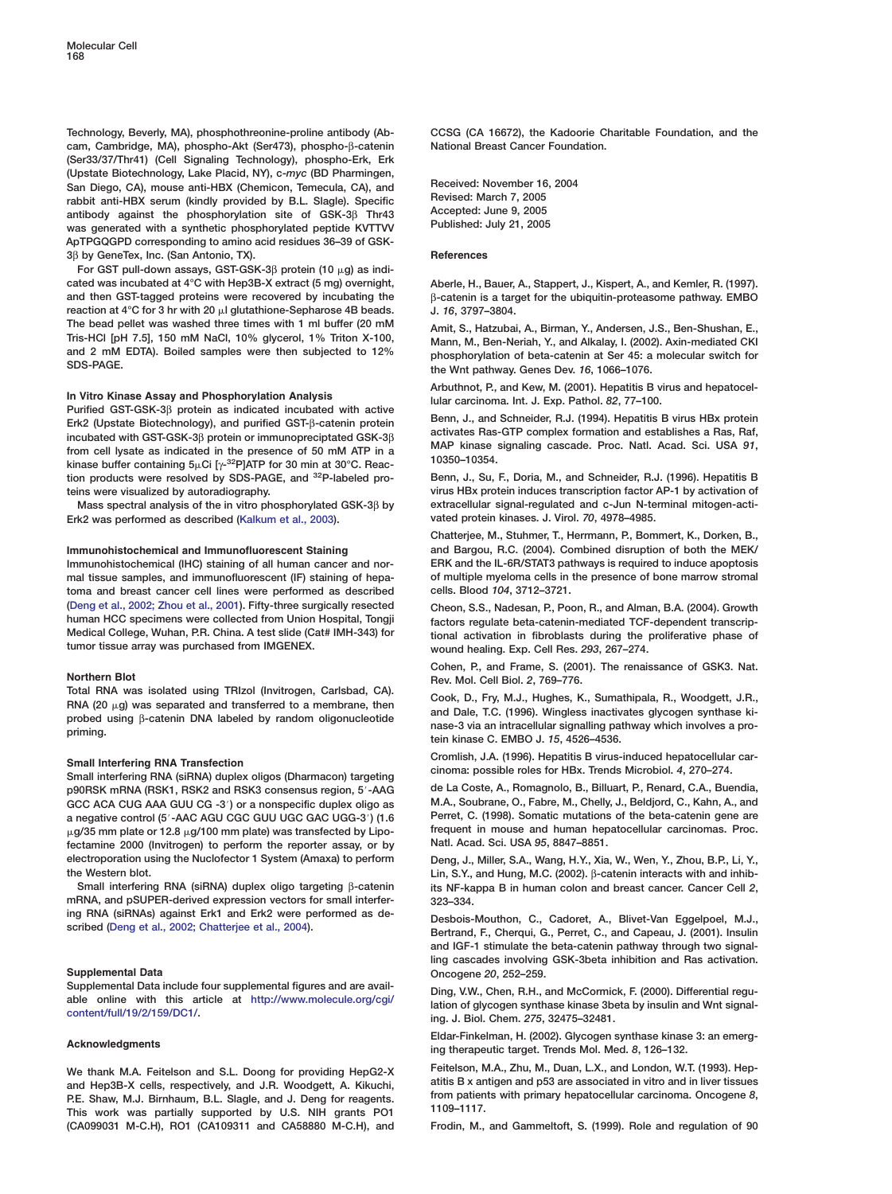<span id="page-9-0"></span>**Technology, Beverly, MA), phosphothreonine-proline antibody (Ab- CCSG (CA 16672), the Kadoorie Charitable Foundation, and the cam, Cambridge, MA), phospho-Akt (Ser473), phospho-**β**-catenin National Breast Cancer Foundation. (Ser33/37/Thr41) (Cell Signaling Technology), phospho-Erk, Erk** (Upstate Biotechnology, Lake Placid, NY), c-myc (BD Pharmingen,<br>
San Diego, CA), mouse anti-HBX (Chemicon, Temecula, CA), and<br>
rabbit anti-HBX serum (kindly provided by B.L. Slagle). Specific<br>
antibody against the phosphor was generated with a synthetic phosphorylated peptide KVTTVV **ApTPGQGPD corresponding to amino acid residues 36–39 of GSK-3**β **by GeneTex, Inc. (San Antonio, TX). References**

**For GST pull-down assays, GST-GSK-3**β **protein (10 g) as indicated was incubated at 4°C with Hep3B-X extract (5 mg) overnight, Aberle, H., Bauer, A., Stappert, J., Kispert, A., and Kemler, R. (1997). and then GST-tagged proteins were recovered by incubating the** β**-catenin is a target for the ubiquitin-proteasome pathway. EMBO reaction at 4°C for 3 hr with 20**  $\mu$  glutathione-Sepharose 4B beads. J. 16, 3797–3804. The bead pellet was washed three times with 1 ml buffer (20 mM<br>Tris-HCl [pH 7.5], 150 mM NaCl, 10% glycerol, 1% Triton X-100,<br>and 2 mM EDTA). Boiled samples were then subjected to 12%<br>SDS-PAGE.<br>The Whit pathway. Genes Dev.

In Vitro Kinase Assay and Phosphorylation Analysis<br>
Purified GST-GSK-3 $\beta$  protein as indicated incubated with active<br>
Erk2 (Upstate Biotechnology), and purified GST- $\beta$ -catenin protein<br>
incubated with GST-GSK-3 $\beta$  prot **tion products were resolved by SDS-PAGE, and 32P-labeled pro- Benn, J., Su, F., Doria, M., and Schneider, R.J. (1996). Hepatitis B teins were visualized by autoradiography. virus HBx protein induces transcription factor AP-1 by activation of**

**Erk2** was performed as described [\(Kalkum et al., 2003\)](#page-10-0).

**toma and breast cancer cell lines were performed as described cells. Blood** *104***, 3712–3721. (Deng et al., 2002; Zhou et al., 2001). Fifty-three surgically resected Cheon, S.S., Nadesan, P., Poon, R., and Alman, B.A. (2004). Growth human HCC specimens were collected from Union Hospital, Tongji factors regulate beta-catenin-mediated TCF-dependent transcrip-Medical College, Wuhan, P.R. China. A test slide (Cat# IMH-343) for tional activation in fibroblasts during the proliferative phase of**

**Northern Blot Rev. Mol. Cell Biol. 2, 769–776.**<br>**Total RNA was isolated using TRIzol (Invitrogen, Carlsbad, CA).** Carl: **R. F. M. L. Uyghes, W.** 

p90RSK mRNA (RSK1, RSK2 and RSK3 consensus region, 5′-AAG de La Coste, A., Romagnolo, B., Billuart, P., Renard, C.A., Buendia,<br>GCC ACA CUG AAA GUU CG -3′) or a nonspecific duplex oligo as M.A., Soubrane, O., Fabre, M., Che **GCC ACA CUG AAA GUU CG -3**#**) or a nonspecific duplex oligo as M.A., Soubrane, O., Fabre, M., Chelly, J., Beldjord, C., Kahn, A., and a negative control (5**#**-AAC AGU CGC GUU UGC GAC UGG-3**#**) (1.6 Perret, C. (1998). Somatic mutations of the beta-catenin gene are**  $\mu$ g/35 mm plate or 12.8  $\mu$ g/100 mm plate) was transfected by Lipo- frequent in mouse and human hep<br>fectamine 2000 (Invitrogen) to perform the reporter assay, or by **Natl. Acad. Sci. USA 95, 8847–8851**. fectamine 2000 (Invitrogen) to perform the reporter assay, or by **electroporation using the Nuclofector 1 System (Amaxa) to perform Deng, J., Miller, S.A., Wang, H.Y., Xia, W., Wen, Y., Zhou, B.P., Li, Y.,**

**mRNA, and pSUPER-derived expression vectors for small interfer- 323–334.** ing RNA (siRNAs) against Erk1 and Erk2 were performed as de-<br>scribed (Deng et al., 2002; Chatterjee et al., 2004).<br>Bertrand, F., Cherqui, G., Perret, C., and Capeau, J. (2001). Insulin

**Supplemental Data Oncogene** *20***, 252–259.**

and Hep3B-X cells, respectively, and J.R. Woodgett, A. Kikuchi, attitis B x antigen and p53 are associated in vitro and in liver tissues<br>P.E. Shaw, M.J. Birnhaum, B.L. Slagle, and J. Deng for reagents. from patients with p **(CA099031 M-C.H), RO1 (CA109311 and CA58880 M-C.H), and Frodin, M., and Gammeltoft, S. (1999). Role and regulation of 90**

**Mass spectral analysis of the in vitro phosphorylated GSK-3**β **by extracellular signal-regulated and c-Jun N-terminal mitogen-acti-**

**Chatterjee, M., Stuhmer, T., Herrmann, P., Bommert, K., Dorken, B., Immunohistochemical and Immunofluorescent Staining and Bargou, R.C. (2004). Combined disruption of both the MEK/ Immunohistochemical (IHC) staining of all human cancer and nor- ERK and the IL-6R/STAT3 pathways is required to induce apoptosis mal tissue samples, and immunofluorescent (IF) staining of hepa- of multiple myeloma cells in the presence of bone marrow stromal**

**tumor tissue array was purchased from IMGENEX. wound healing. Exp. Cell Res.** *293***, 267–274.**

**Cohen, P., and Frame, S. (2001). The renaissance of GSK3. Nat.**

FINA (20  $\mu$ g) was separated and transferred to a membrane, then<br>
probed using  $\beta$ -catenin DNA labeled by random oligonucleotide<br>
probed using  $\beta$ -catenin DNA labeled by random oligonucleotide<br>
priming.<br>
probed using

Small Interfering RNA Transfection<br>
Small interfering RNA (siRNA) duplex oligos (Dharmacon) targeting<br>
cinoma: possible roles for HBx. Trends Microbiol. 4, 270–274.<br>
p90RSK mRNA (RSK1. RSK2 and RSK3 consensus region. 5'-AA

**the Western blot.** (2002). β-catenin interacts with and inhib-<br>Small interfering RNA (siRNA) duplex oligo targeting β-catenin its NF-kappa B in human colon and breast cancer. Cancer Cell 2, **Small interfering RNA (siRNA) duplex oligo targeting** β**-catenin its NF-kappa B in human colon and breast cancer. Cancer Cell** *2***,**

> **and IGF-1 stimulate the beta-catenin pathway through two signalling cascades involving GSK-3beta inhibition and Ras activation.**

Supplemental Data include four supplemental rigures and are avail-<br>able online with this article at [http://www.molecule.org/cgi/](http://www.molecule.org/cgi/content/full/19/2/159/DC1/)<br>[content/full/19/2/159/DC1/.](http://www.molecule.org/cgi/content/full/19/2/159/DC1/)<br>ing. J. Biol. Chem. 275, 32475-32481.

**Eldar-Finkelman, H. (2002). Glycogen synthase kinase 3: an emerg- Acknowledgments ing therapeutic target. Trends Mol. Med.** *<sup>8</sup>***, 126–132.**

**We thank M.A. Feitelson and S.L. Doong for providing HepG2-X Feitelson, M.A., Zhu, M., Duan, L.X., and London, W.T. (1993). Hep-**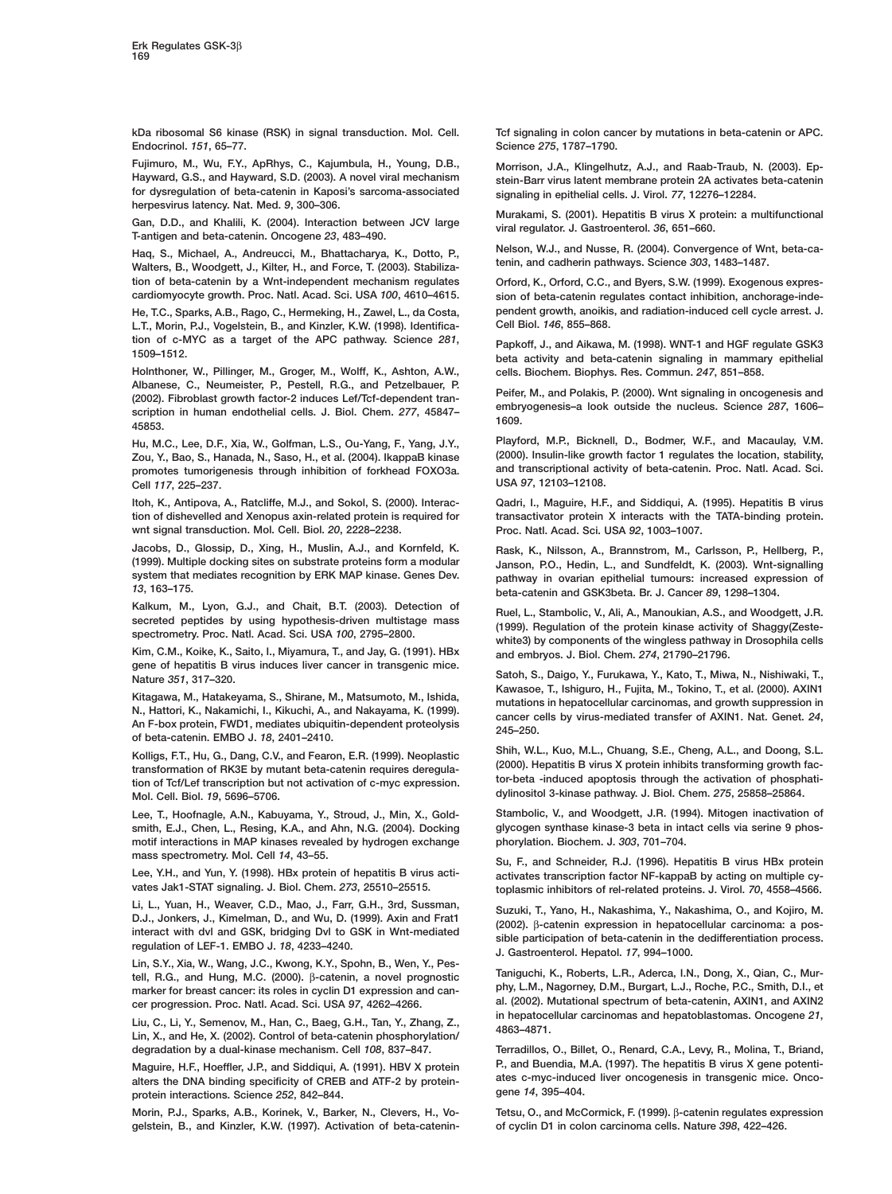<span id="page-10-0"></span>**kDa ribosomal S6 kinase (RSK) in signal transduction. Mol. Cell. Tcf signaling in colon cancer by mutations in beta-catenin or APC. Endocrinol.** *151***, 65–77. Science** *275***, 1787–1790.**

**Fujimuro, M., Wu, F.Y., ApRhys, C., Kajumbula, H., Young, D.B., Morrison, J.A., Klingelhutz, A.J., and Raab-Traub, N. (2003). Ep-Hayward, G.S., and Hayward, S.D. (2003). A novel viral mechanism stein-Barr virus latent membrane protein 2A activates beta-catenin herpesvirus latency. Nat. Med.** *9***, 300–306.**

**Walters, B., Woodgett, J., Kilter, H., and Force, T. (2003). Stabiliza- tenin, and cadherin pathways. Science** *<sup>303</sup>***, 1483–1487. tion of beta-catenin by a Wnt-independent mechanism regulates Orford, K., Orford, C.C., and Byers, S.W. (1999). Exogenous expres-**

**L.T., Morin, P.J., Vogelstein, B., and Kinzler, K.W. (1998). Identifica- Cell Biol.** *146***, 855–868.** tion of c-MYC as a target of the APC pathway. Science 281,<br>1509–1512. papkoff, J., and Aikawa, M. (1998). WNT-1 and HGF regulate GSK3

**Holnthoner, W., Pillinger, M., Groger, M., Wolff, K., Ashton, A.W., cells. Biochem. Biophys. Res. Commun.** *247***, 851–858.** Fibrolay, C., Reality, P., Peter, H., and Peter, M., and Polakis, P. (2000). What signaling in oncogenesis and<br>(2002). Fibroblast growth factor-2 induces Lef/Tcf-dependent tran-<br>scription in human endothelial cells. J. Bio

**Zou, Y., Bao, S., Hanada, N., Saso, H., et al. (2004). IkappaB kinase (2000). Insulin-like growth factor 1 regulates the location, stability, promotes tumorigenesis through inhibition of forkhead FOXO3a. and transcriptional activity of beta-catening** Cell 117 225-237 **Cell** *117* **USA** *97***, 12103–12108. , 225–237.**

**tion of dishevelled and Xenopus axin-related protein is required for transactivator protein X interacts with the TATA-binding protein. wnt signal transduction. Mol. Cell. Biol.** *20***, 2228–2238. Proc. Natl. Acad. Sci. USA** *92***, 1003–1007.**

**Jacobs, D., Glossip, D., Xing, H., Muslin, A.J., and Kornfeld, K. Rask, K., Nilsson, A., Brannstrom, M., Carlsson, P., Hellberg, P., system that mediates recognition by ERK MAP kinase. Genes Dev. pathway in ovarian epithelial tumours: increased expression of**

**Kim, C.M., Koike, K., Saito, I., Miyamura, T., and Jay, G. (1991). HBx and embryos. J. Biol. Chem.** *274***, 21790–21796.**

Kitagawa, M., Hatakeyama, S., Shirane, M., Matsumoto, M., Ishida,<br>
N., Hattori, K., Nakamichi, I., Kikuchi, A., and Nakayama, K. (1999).<br>
An F-box protein, FWD1, mediates ubiquitin-dependent proteolysis<br>
of beta-catenin. E

**Mol. Cell. Biol. dylinositol 3-kinase pathway. J. Biol. Chem.** *275***, 25858–25864.** *19***, 5696–5706.**

**smith, E.J., Chen, L., Resing, K.A., and Ahn, N.G. (2004). Docking glycogen synthase kinase-3 beta in intact cells via serine 9 phosmotif interactions in MAP kinases revealed by hydrogen exchange phorylation. Biochem. J.** *303***, 701–704. mass spectrometry. Mol. Cell** *<sup>14</sup>***, 43–55. Su, F., and Schneider, R.J. (1996). Hepatitis B virus HBx protein**

Li, L., Yuan, H., Weaver, C.D., Mao, J., Farr, G.H., 3rd, Sussman,<br>
D.J., Jonkers, J., Kimelman, D., and Wu, D. (1999). Axin and Frat1 (2002). B-catenin expression in hepatocellular carcinoma: a pos-<br>
interact with dvl and

tell, R.G., and Hung, M.C. (2000). Brattelin, a lovel prognostic Taniguchi, K., Roberts, L.R., Aderca, I.N., Dong, X., Qian, C., Mur-<br>tell, R.G., and Hung, M.C. (2000). Brattelin, a novel prognostic Taniguchi, K., Roberts, marker for breast cancer: its roles in cyclin D1 expression and can-

Liu, C., Li, Y., Semenov, M., Han, C., Baeg, G.H., Tan, Y., Zhang, Z.,<br>Lin, X., and He, X. (2002). Control of beta-catenin phosphorylation/ 4863-4871.

atters the DNA binding specificity of CREB and ATF-2 by protein-<br>
protein interactions Science 252, 842–844 **protein interactions. Science** *252* **gene** *14***, 395–404. , 842–844.**

**Morin, P.J., Sparks, A.B., Korinek, V., Barker, N., Clevers, H., Vo- Tetsu, O., and McCormick, F. (1999).** β**-catenin regulates expression gelstein, B., and Kinzler, K.W. (1997). Activation of beta-catenin- of cyclin D1 in colon carcinoma cells. Nature** *398***, 422–426.**

**for dysregulation of beta-catenin in Kaposi's sarcoma-associated signaling in epithelial cells. J. Virol.** *77***, 12276–12284.**

Murakami, S. (2001). Hepatitis B virus X protein: a multifunctional<br>Gan, D.D., and Khalili, K. (2004). Interaction between JCV large viral regulator. J. Gastroenterol. 36, 651–660.<br>T-antigen and beta-catenin. Oncogene 23,

**Nelson, W.J., and Nusse, R. (2004). Convergence of Wnt, beta-ca- Haq, S., Michael, A., Andreucci, M., Bhattacharya, K., Dotto, P.,**

sion of beta-catenin regulates contact inhibition, anchorage-inde-**He, T.C., Sparks, A.B., Rago, C., Hermeking, H., Zawel, L., da Costa, pendent growth, anoikis, and radiation-induced cell cycle arrest. J.**

**Hu, M.C., Lee, D.F., Xia, W., Golfman, L.S., Ou-Yang, F., Yang, J.Y., Playford, M.P., Bicknell, D., Bodmer, W.F., and Macaulay, V.M.**

**Itoh, K., Antipova, A., Ratcliffe, M.J., and Sokol, S. (2000). Interac- Qadri, I., Maguire, H.F., and Siddiqui, A. (1995). Hepatitis B virus**

**(1999). Multiple docking sites on substrate proteins form a modular Janson, P.O., Hedin, L., and Sundfeldt, K. (2003). Wnt-signalling** *13***, 163–175. beta-catenin and GSK3beta. Br. J. Cancer** *89***, 1298–1304.**

Kalkum, M., Lyon, G.J., and Chait, B.T. (2003). Detection of Ruel, L., Stambolic, V., Ali, A., Manoukian, A.S., and Woodgett, J.R.<br>secreted peptides by using hypothesis-driven multistage mass (1999). Regulation of the prot

gene of hepatitis a virus induces liver cancer in transgenic mice.<br> **Satoh, S., Daigo, Y., Furukawa, Y., Kato, T., Miwa, N., Nishiwaki, T.,**<br> *V. Mature* 351, 1991, 2000, 2000, 2000, 2000, 2000, 2000, 2000, 2000, 2000, 200

Kolligs, F.T., Hu, G., Dang, C.V., and Fearon, E.R. (1999). Neoplastic Shih, W.L., Kuo, M.L., Chuang, S.E., Cheng, A.L., and Doong, S.L.<br>transformation of RK3E by mutant beta-catenin requires deregula- (2000). Hepatitis B

**Lee, T., Hoofnagle, A.N., Kabuyama, Y., Stroud, J., Min, X., Gold- Stambolic, V., and Woodgett, J.R. (1994). Mitogen inactivation of**

Lee, Y.H., and Yun, Y. (1998). HBx protein of hepatitis B virus acti-<br>vates Jak1-STAT signaling. J. Biol. Chem. 273, 25510-25515.<br>toplasmic inhibitors of rel-related proteins. J. Virol. 70, 4558-4566. **vates Jak1-STAT signaling. J. Biol. Chem.** *273***, 25510–25515. toplasmic inhibitors of rel-related proteins. J. Virol.** *70***, 4558–4566.**

**al. (2002). Mutational spectrum of beta-catenin, AXIN1, and AXIN2 cer progression. Proc. Natl. Acad. Sci. USA** *97***, 4262–4266.**

**degradation by a dual-kinase mechanism. Cell** *108***, 837–847. Terradillos, O., Billet, O., Renard, C.A., Levy, R., Molina, T., Briand, Maguire, H.F., Hoeffler, J.P., and Siddiqui, A. (1991). HBV X protein P., and Buendia, M.A. (1997). The hepatitis B virus X gene potenti-**